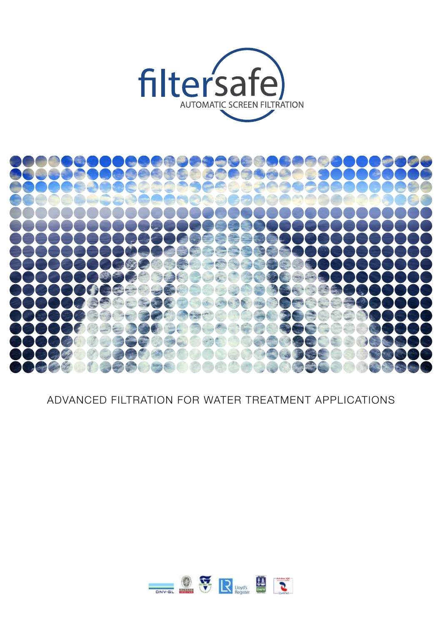



ADVANCED FILTRATION FOR WATER TREATMENT APPLICATIONS

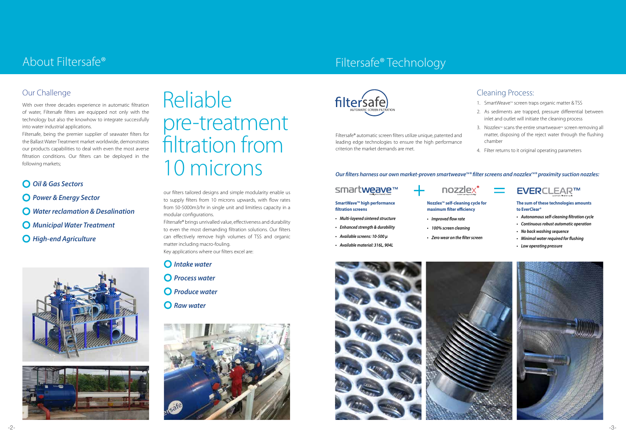

With over three decades experience in automatic filtration of water, Filtersafe filters are equipped not only with the technology but also the knowhow to integrate successfully into water industrial applications.

Filtersafe, being the premier supplier of seawater filters for the Ballast Water Treatment market worldwide, demonstrates our products capabilities to deal with even the most averse filtration conditions. Our filters can be deployed in the following markets;

- 1. SmartWeave™ screen traps organic matter & TSS
- 2. As sediments are trapped, pressure differential between inlet and outlet will initiate the cleaning process
- 3. Nozzlex<sup>™</sup> scans the entire smartweave<sup>™</sup> screen removing all matter, disposing of the reject water through the flushing chamber
- 4. Filter returns to it original operating parameters

- *Oil & Gas Sectors*
- *Power & Energy Sector*
- *Water reclamation & Desalination*
- *Municipal Water Treatment*
- *High-end Agriculture*





# About Filtersafe®

# Cleaning Process:

#### **SmartWave<sup>™</sup> high performance filtration screens**

# Filtersafe® Technology

#### **The sum of these technologies amounts to EverClear®**

**EVERCLEAR™** 

- *• Autonomous self-cleaning filtration cycle*
- *• Continuous robust automatic operation*

*• No back washing sequence*

*• Minimal water required for flushing*

*• Low operating pressure*





- *• Multi-layered sintered structure*
- *• Enhanced strength & durability*
- *• Available screens: 10-500 μ*
- *• Available material: 316L, 904L*

## nozzlex



- **maximum filter efficiency** *• Improved flow rate*
- 
- *• 100% screen cleaning*
- *• Zero wear on the filter screen*

Filtersafe® automatic screen filters utilize unique, patented and leading edge technologies to ensure the high performance criterion the market demands are met.

#### *Our filters harness our own market-proven smartweave<sup>™®</sup> filter screens and nozzlex<sup>™®</sup> proximity suction nozzles:*

# smartweave™

our filters tailored designs and simple modularity enable us to supply filters from 10 microns upwards, with flow rates from 50-5000m3/hr in single unit and limitless capacity in a modular configurations.

Filtersafe® brings unrivalled value, effectiveness and durability to even the most demanding filtration solutions. Our filters can effectively remove high volumes of TSS and organic matter including macro-fouling.

Key applications where our filters excel are:

- *Intake water*
- *Process water*
- *Produce water*
- *Raw water*





# Reliable pre-treatment filtration from 10 microns

# Our Challenge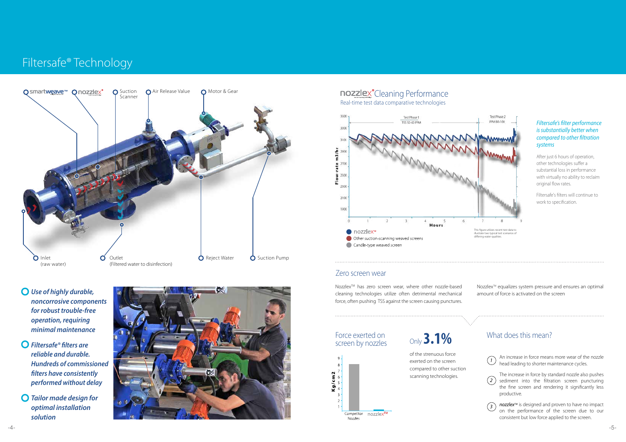*Use of highly durable, noncorrosive components for robust trouble-free operation, requiring minimal maintenance*

- *Filtersafe® filters are reliable and durable. Hundreds of commissioned filters have consistently performed without delay*
- *Tailor made design for optimal installation solution*





Nozzlex™ has zero screen wear, where other nozzle-based cleaning technologies utilize often detrimental mechanical force, often pushing TSS against the screen causing punctures.

#### *Filtersafe's filter performance is substantially better when compared to other filtration systems*

Nozzlex<sup>™</sup> equalizes system pressure and ensures an optimal amount of force is activated on the screen

After just 6 hours of operation, other technologies suffer a substantial loss in performance with virtually no ability to reclaim original flow rates.

# **nozzlex**<sup>®</sup>Cleaning Performance Real-time test data comparative technologies

Filtersafe's filters will continue to work to specification.

nozzlex<sup>™</sup> is designed and proven to have no impact on the performance of the screen due to our consistent but low force applied to the screen.



Force exerted on screen by nozzles



of the strenuous force exerted on the screen compared to other suction scanning technologies.

# Only **3.1%**

An increase in force means more wear of the nozzle head leading to shorter maintenance cycles.

The increase in force by standard nozzle also pushes sediment into the filtration screen puncturing the fine screen and rendering it significantly less productive.

# What does this mean?







# Filtersafe® Technology

### Zero screen wear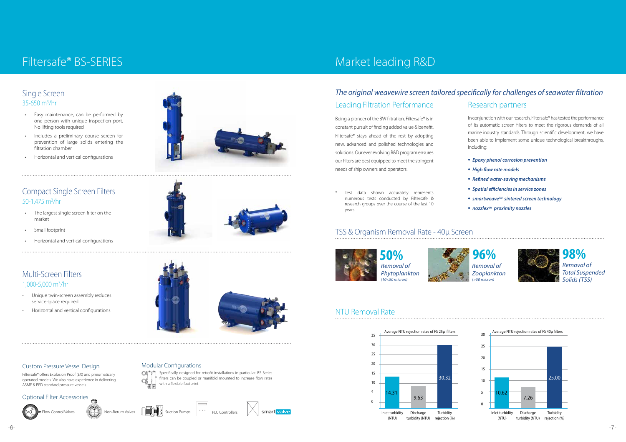### Compact Single Screen Filters 50-1,475  $m^3$ /hr

# Filtersafe® BS-SERIES

- The largest single screen filter on the market
- Small footprint
- Horizontal and vertical configurations

- Unique twin-screen assembly reduces service space required
- Horizontal and vertical configurations

### Multi-Screen Filters 1,000-5,000 m3/hr

#### Custom Pressure Vessel Design

Filtersafe® offers Explosion Proof (EX) and pneumatically operated models. We also have experience in delivering ASME & PED standard pressure vessels.

Modular Configurations

 $Q(\mathbf{r}^{\mathsf{T}})^{\mathsf{T}}$ 

Specifically designed for retrofit installations in particular. BS-Series filters can be coupled or manifold mounted to increase flow rates



with a flexible footprint.



### Optional Filter Accessories







# v Control Valves (CAD) Non-Return Valves  $\mathbb{F}$  **Non-Return Valves PLC Controllers**

# Market leading R&D

In conjunction with our research, Filtersafe® has tested the performance of its automatic screen filters to meet the rigorous demands of all marine industry standards. Through scientific development, we have been able to implement some unique technological breakthroughs, including:



### Research partners *The original weavewire screen tailored specifically for challenges of seawater filtration* Leading Filtration Performance



- *• Epoxy phenol corrosion prevention • High flow rate models • Refined water-saving mechanisms • Spatial efficiencies in service zones • smartweaveTM sintered screen technology • nozzlexTM proximity nozzles*
- 
- years.

Being a pioneer of the BW filtration, Filtersafe® is in constant pursuit of finding added value & benefit. Filtersafe® stays ahead of the rest by adopting new, advanced and polished technologies and solutions. Our ever evolving R&D program ensures our filters are best equipped to meet the stringent

needs of ship owners and operators.

\* Test data shown accurately represents numerous tests conducted by Filtersafe & research groups over the course of the last 10

# TSS & Organism Removal Rate - 40μ Screen







turbidity (NTU)

### Single Screen 35-650 m3/hr

- Easy maintenance, can be performed by one person with unique inspection port. No lifting tools required
- Includes a preliminary course screen for prevention of large solids entering the filtration chamber
- Horizontal and vertical configurations



*Removal of Phytoplankton (10<50 micron)*

## NTU Removal Rate